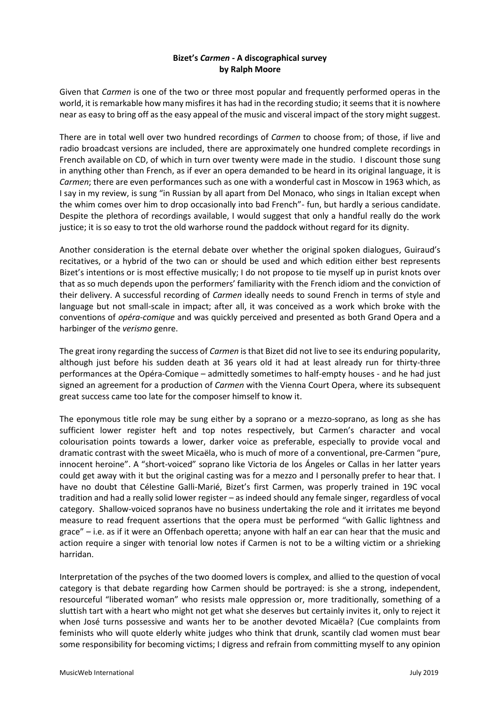# **Bizet's** *Carmen -* **A discographical survey by Ralph Moore**

Given that *Carmen* is one of the two or three most popular and frequently performed operas in the world, it is remarkable how many misfires it has had in the recording studio; it seemsthat it is nowhere near as easy to bring off as the easy appeal of the music and visceral impact of the story might suggest.

There are in total well over two hundred recordings of *Carmen* to choose from; of those, if live and radio broadcast versions are included, there are approximately one hundred complete recordings in French available on CD, of which in turn over twenty were made in the studio. I discount those sung in anything other than French, as if ever an opera demanded to be heard in its original language, it is *Carmen*; there are even performances such as one with a wonderful cast in Moscow in 1963 which, as I say in my review, is sung "in Russian by all apart from Del Monaco, who sings in Italian except when the whim comes over him to drop occasionally into bad French"- fun, but hardly a serious candidate. Despite the plethora of recordings available, I would suggest that only a handful really do the work justice; it is so easy to trot the old warhorse round the paddock without regard for its dignity.

Another consideration is the eternal debate over whether the original spoken dialogues, Guiraud's recitatives, or a hybrid of the two can or should be used and which edition either best represents Bizet's intentions or is most effective musically; I do not propose to tie myself up in purist knots over that as so much depends upon the performers' familiarity with the French idiom and the conviction of their delivery. A successful recording of *Carmen* ideally needs to sound French in terms of style and language but not small-scale in impact; after all, it was conceived as a work which broke with the conventions of *opéra-comique* and was quickly perceived and presented as both Grand Opera and a harbinger of the *verismo* genre.

The great irony regarding the success of *Carmen* is that Bizet did not live to see its enduring popularity, although just before his sudden death at 36 years old it had at least already run for thirty-three performances at the Opéra-Comique – admittedly sometimes to half-empty houses - and he had just signed an agreement for a production of *Carmen* with the Vienna Court Opera, where its subsequent great success came too late for the composer himself to know it.

The eponymous title role may be sung either by a soprano or a mezzo-soprano, as long as she has sufficient lower register heft and top notes respectively, but Carmen's character and vocal colourisation points towards a lower, darker voice as preferable, especially to provide vocal and dramatic contrast with the sweet Micaëla, who is much of more of a conventional, pre-Carmen "pure, innocent heroine". A "short-voiced" soprano like Victoria de los Ángeles or Callas in her latter years could get away with it but the original casting was for a mezzo and I personally prefer to hear that. I have no doubt that Célestine Galli-Marié, Bizet's first Carmen, was properly trained in 19C vocal tradition and had a really solid lower register – as indeed should any female singer, regardless of vocal category. Shallow-voiced sopranos have no business undertaking the role and it irritates me beyond measure to read frequent assertions that the opera must be performed "with Gallic lightness and grace" – i.e. as if it were an Offenbach operetta; anyone with half an ear can hear that the music and action require a singer with tenorial low notes if Carmen is not to be a wilting victim or a shrieking harridan.

Interpretation of the psyches of the two doomed lovers is complex, and allied to the question of vocal category is that debate regarding how Carmen should be portrayed: is she a strong, independent, resourceful "liberated woman" who resists male oppression or, more traditionally, something of a sluttish tart with a heart who might not get what she deserves but certainly invites it, only to reject it when José turns possessive and wants her to be another devoted Micaëla? (Cue complaints from feminists who will quote elderly white judges who think that drunk, scantily clad women must bear some responsibility for becoming victims; I digress and refrain from committing myself to any opinion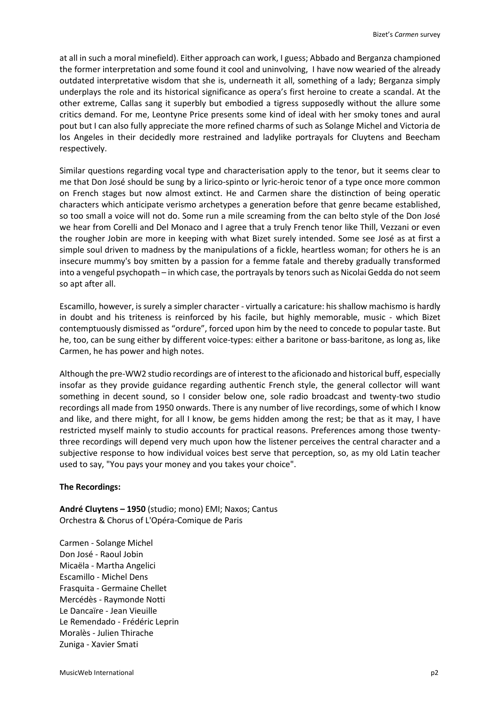at all in such a moral minefield). Either approach can work, I guess; Abbado and Berganza championed the former interpretation and some found it cool and uninvolving, I have now wearied of the already outdated interpretative wisdom that she is, underneath it all, something of a lady; Berganza simply underplays the role and its historical significance as opera's first heroine to create a scandal. At the other extreme, Callas sang it superbly but embodied a tigress supposedly without the allure some critics demand. For me, Leontyne Price presents some kind of ideal with her smoky tones and aural pout but I can also fully appreciate the more refined charms of such as Solange Michel and Victoria de los Angeles in their decidedly more restrained and ladylike portrayals for Cluytens and Beecham respectively.

Similar questions regarding vocal type and characterisation apply to the tenor, but it seems clear to me that Don José should be sung by a lirico-spinto or lyric-heroic tenor of a type once more common on French stages but now almost extinct. He and Carmen share the distinction of being operatic characters which anticipate verismo archetypes a generation before that genre became established, so too small a voice will not do. Some run a mile screaming from the can belto style of the Don José we hear from Corelli and Del Monaco and I agree that a truly French tenor like Thill, Vezzani or even the rougher Jobin are more in keeping with what Bizet surely intended. Some see José as at first a simple soul driven to madness by the manipulations of a fickle, heartless woman; for others he is an insecure mummy's boy smitten by a passion for a femme fatale and thereby gradually transformed into a vengeful psychopath – in which case, the portrayals by tenors such as Nicolai Gedda do not seem so apt after all.

Escamillo, however, is surely a simpler character - virtually a caricature: his shallow machismo is hardly in doubt and his triteness is reinforced by his facile, but highly memorable, music - which Bizet contemptuously dismissed as "ordure", forced upon him by the need to concede to popular taste. But he, too, can be sung either by different voice-types: either a baritone or bass-baritone, as long as, like Carmen, he has power and high notes.

Although the pre-WW2 studio recordings are of interest to the aficionado and historical buff, especially insofar as they provide guidance regarding authentic French style, the general collector will want something in decent sound, so I consider below one, sole radio broadcast and twenty-two studio recordings all made from 1950 onwards. There is any number of live recordings, some of which I know and like, and there might, for all I know, be gems hidden among the rest; be that as it may, I have restricted myself mainly to studio accounts for practical reasons. Preferences among those twentythree recordings will depend very much upon how the listener perceives the central character and a subjective response to how individual voices best serve that perception, so, as my old Latin teacher used to say, "You pays your money and you takes your choice".

## **The Recordings:**

**André Cluytens – 1950** (studio; mono) EMI; Naxos; Cantus Orchestra & Chorus of L'Opéra-Comique de Paris

Carmen - Solange Michel Don José - Raoul Jobin Micaëla - Martha Angelici Escamillo - Michel Dens Frasquita - Germaine Chellet Mercédès - Raymonde Notti Le Dancaïre - Jean Vieuille Le Remendado - Frédéric Leprin Moralès - Julien Thirache Zuniga - Xavier Smati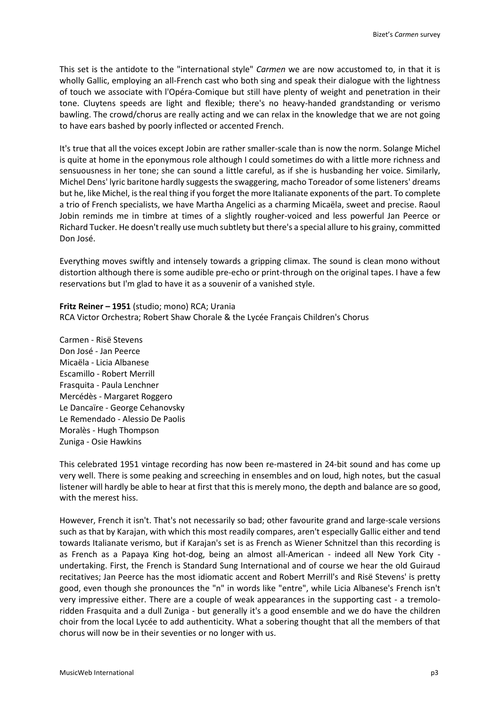This set is the antidote to the "international style" *Carmen* we are now accustomed to, in that it is wholly Gallic, employing an all-French cast who both sing and speak their dialogue with the lightness of touch we associate with l'Opéra-Comique but still have plenty of weight and penetration in their tone. Cluytens speeds are light and flexible; there's no heavy-handed grandstanding or verismo bawling. The crowd/chorus are really acting and we can relax in the knowledge that we are not going to have ears bashed by poorly inflected or accented French.

It's true that all the voices except Jobin are rather smaller-scale than is now the norm. Solange Michel is quite at home in the eponymous role although I could sometimes do with a little more richness and sensuousness in her tone; she can sound a little careful, as if she is husbanding her voice. Similarly, Michel Dens' lyric baritone hardly suggests the swaggering, macho Toreador of some listeners' dreams but he, like Michel, is the real thing if you forget the more Italianate exponents of the part. To complete a trio of French specialists, we have Martha Angelici as a charming Micaëla, sweet and precise. Raoul Jobin reminds me in timbre at times of a slightly rougher-voiced and less powerful Jan Peerce or Richard Tucker. He doesn't really use much subtlety but there's a special allure to his grainy, committed Don José.

Everything moves swiftly and intensely towards a gripping climax. The sound is clean mono without distortion although there is some audible pre-echo or print-through on the original tapes. I have a few reservations but I'm glad to have it as a souvenir of a vanished style.

**Fritz Reiner – 1951** (studio; mono) RCA; Urania RCA Victor Orchestra; Robert Shaw Chorale & the Lycée Français Children's Chorus

Carmen - Risë Stevens Don José - Jan Peerce Micaëla - Licia Albanese Escamillo - Robert Merrill Frasquita - Paula Lenchner Mercédès - Margaret Roggero Le Dancaïre - George Cehanovsky Le Remendado - Alessio De Paolis Moralès - Hugh Thompson Zuniga - Osie Hawkins

This celebrated 1951 vintage recording has now been re-mastered in 24-bit sound and has come up very well. There is some peaking and screeching in ensembles and on loud, high notes, but the casual listener will hardly be able to hear at first that this is merely mono, the depth and balance are so good, with the merest hiss.

However, French it isn't. That's not necessarily so bad; other favourite grand and large-scale versions such as that by Karajan, with which this most readily compares, aren't especially Gallic either and tend towards Italianate verismo, but if Karajan's set is as French as Wiener Schnitzel than this recording is as French as a Papaya King hot-dog, being an almost all-American - indeed all New York City undertaking. First, the French is Standard Sung International and of course we hear the old Guiraud recitatives; Jan Peerce has the most idiomatic accent and Robert Merrill's and Risë Stevens' is pretty good, even though she pronounces the "n" in words like "entre", while Licia Albanese's French isn't very impressive either. There are a couple of weak appearances in the supporting cast - a tremoloridden Frasquita and a dull Zuniga - but generally it's a good ensemble and we do have the children choir from the local Lycée to add authenticity. What a sobering thought that all the members of that chorus will now be in their seventies or no longer with us.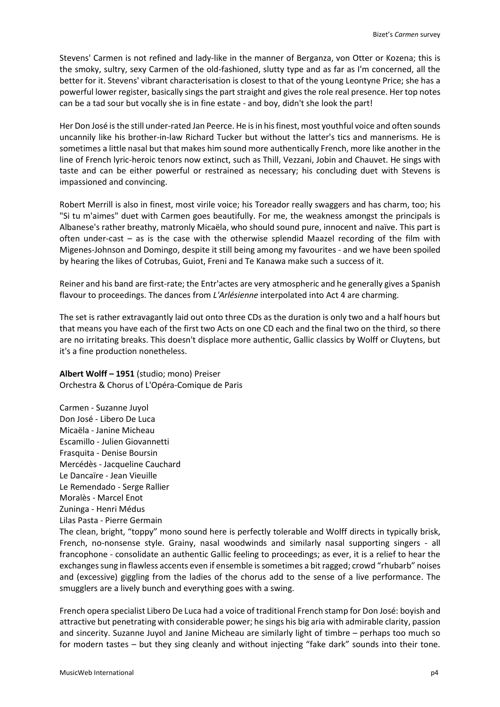Stevens' Carmen is not refined and lady-like in the manner of Berganza, von Otter or Kozena; this is the smoky, sultry, sexy Carmen of the old-fashioned, slutty type and as far as I'm concerned, all the better for it. Stevens' vibrant characterisation is closest to that of the young Leontyne Price; she has a powerful lower register, basically sings the part straight and gives the role real presence. Her top notes can be a tad sour but vocally she is in fine estate - and boy, didn't she look the part!

Her Don José is the still under-rated Jan Peerce. He is in his finest, most youthful voice and often sounds uncannily like his brother-in-law Richard Tucker but without the latter's tics and mannerisms. He is sometimes a little nasal but that makes him sound more authentically French, more like another in the line of French lyric-heroic tenors now extinct, such as Thill, Vezzani, Jobin and Chauvet. He sings with taste and can be either powerful or restrained as necessary; his concluding duet with Stevens is impassioned and convincing.

Robert Merrill is also in finest, most virile voice; his Toreador really swaggers and has charm, too; his "Si tu m'aimes" duet with Carmen goes beautifully. For me, the weakness amongst the principals is Albanese's rather breathy, matronly Micaëla, who should sound pure, innocent and naïve. This part is often under-cast – as is the case with the otherwise splendid Maazel recording of the film with Migenes-Johnson and Domingo, despite it still being among my favourites - and we have been spoiled by hearing the likes of Cotrubas, Guiot, Freni and Te Kanawa make such a success of it.

Reiner and his band are first-rate; the Entr'actes are very atmospheric and he generally gives a Spanish flavour to proceedings. The dances from *L'Arlésienne* interpolated into Act 4 are charming.

The set is rather extravagantly laid out onto three CDs as the duration is only two and a half hours but that means you have each of the first two Acts on one CD each and the final two on the third, so there are no irritating breaks. This doesn't displace more authentic, Gallic classics by Wolff or Cluytens, but it's a fine production nonetheless.

**Albert Wolff – 1951** (studio; mono) Preiser Orchestra & Chorus of L'Opéra-Comique de Paris

Carmen - Suzanne Juyol Don José - Libero De Luca Micaëla - Janine Micheau Escamillo - Julien Giovannetti Frasquita - Denise Boursin Mercédès - Jacqueline Cauchard Le Dancaïre - Jean Vieuille Le Remendado - Serge Rallier Moralès - Marcel Enot Zuninga - Henri Médus Lilas Pasta - Pierre Germain

The clean, bright, "toppy" mono sound here is perfectly tolerable and Wolff directs in typically brisk, French, no-nonsense style. Grainy, nasal woodwinds and similarly nasal supporting singers - all francophone - consolidate an authentic Gallic feeling to proceedings; as ever, it is a relief to hear the exchanges sung in flawless accents even if ensemble is sometimes a bit ragged; crowd "rhubarb" noises and (excessive) giggling from the ladies of the chorus add to the sense of a live performance. The smugglers are a lively bunch and everything goes with a swing.

French opera specialist Libero De Luca had a voice of traditional French stamp for Don José: boyish and attractive but penetrating with considerable power; he sings his big aria with admirable clarity, passion and sincerity. Suzanne Juyol and Janine Micheau are similarly light of timbre – perhaps too much so for modern tastes – but they sing cleanly and without injecting "fake dark" sounds into their tone.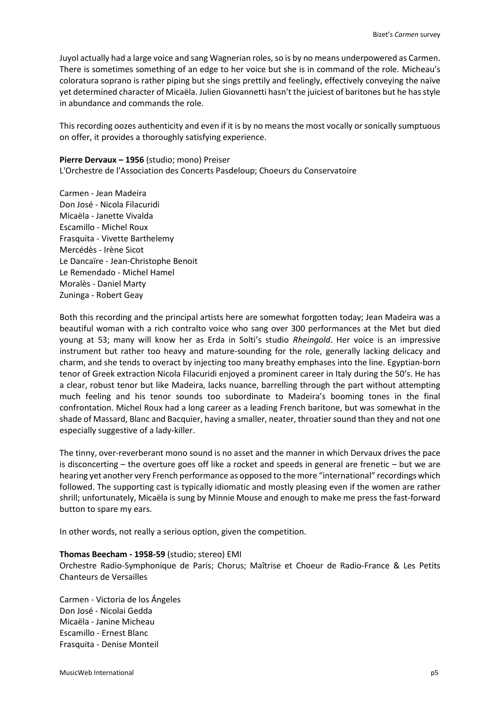Juyol actually had a large voice and sang Wagnerian roles, so is by no means underpowered as Carmen. There is sometimes something of an edge to her voice but she is in command of the role. Micheau's coloratura soprano is rather piping but she sings prettily and feelingly, effectively conveying the naïve yet determined character of Micaëla. Julien Giovannetti hasn't the juiciest of baritones but he has style in abundance and commands the role.

This recording oozes authenticity and even if it is by no means the most vocally or sonically sumptuous on offer, it provides a thoroughly satisfying experience.

### **Pierre Dervaux – 1956** (studio; mono) Preiser

L'Orchestre de l'Association des Concerts Pasdeloup; Choeurs du Conservatoire

Carmen - Jean Madeira Don José - Nicola Filacuridi Micaëla - Janette Vivalda Escamillo - Michel Roux Frasquita - Vivette Barthelemy Mercédès - Irène Sicot Le Dancaïre - Jean-Christophe Benoit Le Remendado - Michel Hamel Moralès - Daniel Marty Zuninga - Robert Geay

Both this recording and the principal artists here are somewhat forgotten today; Jean Madeira was a beautiful woman with a rich contralto voice who sang over 300 performances at the Met but died young at 53; many will know her as Erda in Solti's studio *Rheingold*. Her voice is an impressive instrument but rather too heavy and mature-sounding for the role, generally lacking delicacy and charm, and she tends to overact by injecting too many breathy emphases into the line. Egyptian-born tenor of Greek extraction Nicola Filacuridi enjoyed a prominent career in Italy during the 50's. He has a clear, robust tenor but like Madeira, lacks nuance, barrelling through the part without attempting much feeling and his tenor sounds too subordinate to Madeira's booming tones in the final confrontation. Michel Roux had a long career as a leading French baritone, but was somewhat in the shade of Massard, Blanc and Bacquier, having a smaller, neater, throatier sound than they and not one especially suggestive of a lady-killer.

The tinny, over-reverberant mono sound is no asset and the manner in which Dervaux drives the pace is disconcerting – the overture goes off like a rocket and speeds in general are frenetic – but we are hearing yet another very French performance as opposed to the more "international" recordings which followed. The supporting cast is typically idiomatic and mostly pleasing even if the women are rather shrill; unfortunately, Micaëla is sung by Minnie Mouse and enough to make me press the fast-forward button to spare my ears.

In other words, not really a serious option, given the competition.

#### **Thomas Beecham - 1958-59** (studio; stereo) EMI

Orchestre Radio-Symphonique de Paris; Chorus; Maîtrise et Choeur de Radio-France & Les Petits Chanteurs de Versailles

Carmen - Victoria de los Ángeles Don José - Nicolai Gedda Micaëla - Janine Micheau Escamillo - Ernest Blanc Frasquita - Denise Monteil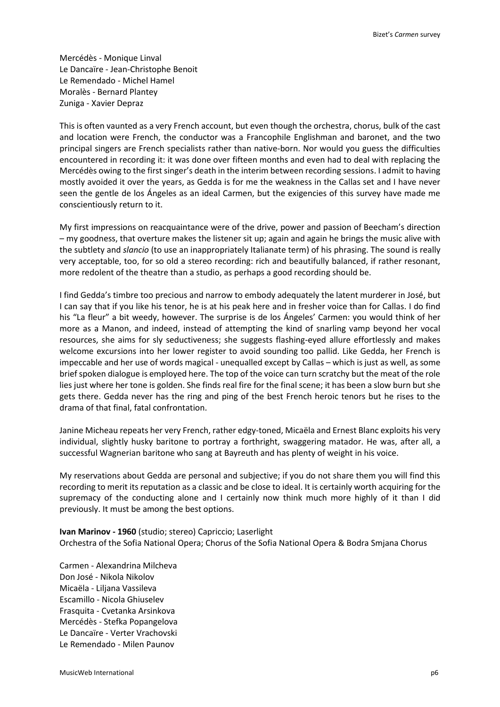Mercédès - Monique Linval Le Dancaïre - Jean-Christophe Benoit Le Remendado - Michel Hamel Moralès - Bernard Plantey Zuniga - Xavier Depraz

This is often vaunted as a very French account, but even though the orchestra, chorus, bulk of the cast and location were French, the conductor was a Francophile Englishman and baronet, and the two principal singers are French specialists rather than native-born. Nor would you guess the difficulties encountered in recording it: it was done over fifteen months and even had to deal with replacing the Mercédès owing to the first singer's death in the interim between recording sessions. I admit to having mostly avoided it over the years, as Gedda is for me the weakness in the Callas set and I have never seen the gentle de los Ángeles as an ideal Carmen, but the exigencies of this survey have made me conscientiously return to it.

My first impressions on reacquaintance were of the drive, power and passion of Beecham's direction – my goodness, that overture makes the listener sit up; again and again he brings the music alive with the subtlety and *slancio* (to use an inappropriately Italianate term) of his phrasing. The sound is really very acceptable, too, for so old a stereo recording: rich and beautifully balanced, if rather resonant, more redolent of the theatre than a studio, as perhaps a good recording should be.

I find Gedda's timbre too precious and narrow to embody adequately the latent murderer in José, but I can say that if you like his tenor, he is at his peak here and in fresher voice than for Callas. I do find his "La fleur" a bit weedy, however. The surprise is de los Ángeles' Carmen: you would think of her more as a Manon, and indeed, instead of attempting the kind of snarling vamp beyond her vocal resources, she aims for sly seductiveness; she suggests flashing-eyed allure effortlessly and makes welcome excursions into her lower register to avoid sounding too pallid. Like Gedda, her French is impeccable and her use of words magical - unequalled except by Callas – which is just as well, as some brief spoken dialogue is employed here. The top of the voice can turn scratchy but the meat of the role lies just where her tone is golden. She finds real fire for the final scene; it has been a slow burn but she gets there. Gedda never has the ring and ping of the best French heroic tenors but he rises to the drama of that final, fatal confrontation.

Janine Micheau repeats her very French, rather edgy-toned, Micaëla and Ernest Blanc exploits his very individual, slightly husky baritone to portray a forthright, swaggering matador. He was, after all, a successful Wagnerian baritone who sang at Bayreuth and has plenty of weight in his voice.

My reservations about Gedda are personal and subjective; if you do not share them you will find this recording to merit its reputation as a classic and be close to ideal. It is certainly worth acquiring for the supremacy of the conducting alone and I certainly now think much more highly of it than I did previously. It must be among the best options.

**Ivan Marinov - 1960** (studio; stereo) Capriccio; Laserlight Orchestra of the Sofia National Opera; Chorus of the Sofia National Opera & Bodra Smjana Chorus

Carmen - Alexandrina Milcheva Don José - Nikola Nikolov Micaëla - Liljana Vassileva Escamillo - Nicola Ghiuselev Frasquita - Cvetanka Arsinkova Mercédès - Stefka Popangelova Le Dancaïre - Verter Vrachovski Le Remendado - Milen Paunov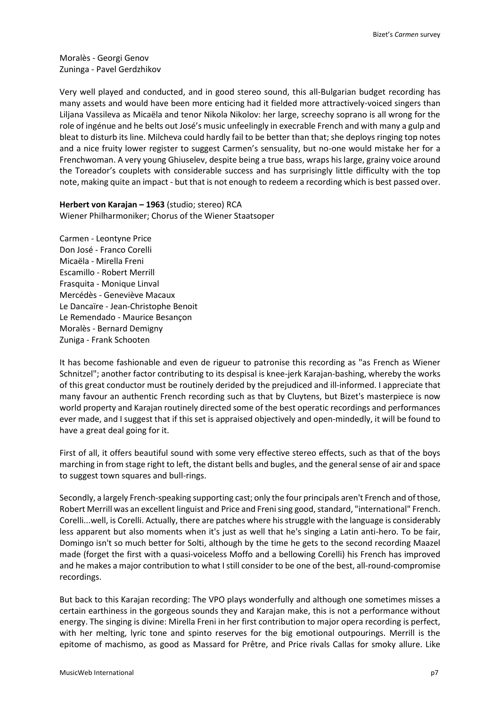Moralès - Georgi Genov Zuninga - Pavel Gerdzhikov

Very well played and conducted, and in good stereo sound, this all-Bulgarian budget recording has many assets and would have been more enticing had it fielded more attractively-voiced singers than Liljana Vassileva as Micaëla and tenor Nikola Nikolov: her large, screechy soprano is all wrong for the role of ingénue and he belts out José's music unfeelingly in execrable French and with many a gulp and bleat to disturb its line. Milcheva could hardly fail to be better than that; she deploys ringing top notes and a nice fruity lower register to suggest Carmen's sensuality, but no-one would mistake her for a Frenchwoman. A very young Ghiuselev, despite being a true bass, wraps his large, grainy voice around the Toreador's couplets with considerable success and has surprisingly little difficulty with the top note, making quite an impact - but that is not enough to redeem a recording which is best passed over.

**Herbert von Karajan – 1963** (studio; stereo) RCA Wiener Philharmoniker; Chorus of the Wiener Staatsoper

Carmen - Leontyne Price Don José - Franco Corelli Micaëla - Mirella Freni Escamillo - Robert Merrill Frasquita - Monique Linval Mercédès - Geneviève Macaux Le Dancaïre - Jean-Christophe Benoit Le Remendado - Maurice Besançon Moralès - Bernard Demigny Zuniga - Frank Schooten

It has become fashionable and even de rigueur to patronise this recording as "as French as Wiener Schnitzel"; another factor contributing to its despisal is knee-jerk Karajan-bashing, whereby the works of this great conductor must be routinely derided by the prejudiced and ill-informed. I appreciate that many favour an authentic French recording such as that by Cluytens, but Bizet's masterpiece is now world property and Karajan routinely directed some of the best operatic recordings and performances ever made, and I suggest that if this set is appraised objectively and open-mindedly, it will be found to have a great deal going for it.

First of all, it offers beautiful sound with some very effective stereo effects, such as that of the boys marching in from stage right to left, the distant bells and bugles, and the general sense of air and space to suggest town squares and bull-rings.

Secondly, a largely French-speaking supporting cast; only the four principals aren't French and of those, Robert Merrill was an excellent linguist and Price and Freni sing good, standard, "international" French. Corelli...well, is Corelli. Actually, there are patches where his struggle with the language is considerably less apparent but also moments when it's just as well that he's singing a Latin anti-hero. To be fair, Domingo isn't so much better for Solti, although by the time he gets to the second recording Maazel made (forget the first with a quasi-voiceless Moffo and a bellowing Corelli) his French has improved and he makes a major contribution to what I still consider to be one of the best, all-round-compromise recordings.

But back to this Karajan recording: The VPO plays wonderfully and although one sometimes misses a certain earthiness in the gorgeous sounds they and Karajan make, this is not a performance without energy. The singing is divine: Mirella Freni in her first contribution to major opera recording is perfect, with her melting, lyric tone and spinto reserves for the big emotional outpourings. Merrill is the epitome of machismo, as good as Massard for Prêtre, and Price rivals Callas for smoky allure. Like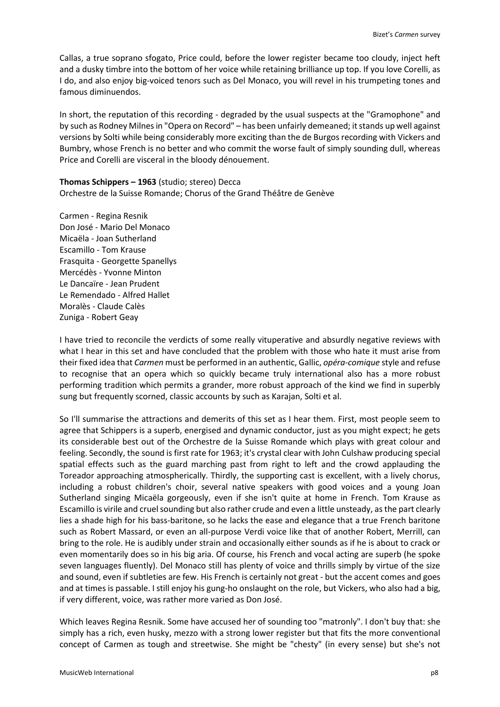Callas, a true soprano sfogato, Price could, before the lower register became too cloudy, inject heft and a dusky timbre into the bottom of her voice while retaining brilliance up top. If you love Corelli, as I do, and also enjoy big-voiced tenors such as Del Monaco, you will revel in his trumpeting tones and famous diminuendos.

In short, the reputation of this recording - degraded by the usual suspects at the "Gramophone" and by such as Rodney Milnes in "Opera on Record" – has been unfairly demeaned; it stands up well against versions by Solti while being considerably more exciting than the de Burgos recording with Vickers and Bumbry, whose French is no better and who commit the worse fault of simply sounding dull, whereas Price and Corelli are visceral in the bloody dénouement.

**Thomas Schippers – 1963** (studio; stereo) Decca Orchestre de la Suisse Romande; Chorus of the Grand Théâtre de Genève

Carmen - Regina Resnik Don José - Mario Del Monaco Micaëla - Joan Sutherland Escamillo - Tom Krause Frasquita - Georgette Spanellys Mercédès - Yvonne Minton Le Dancaïre - Jean Prudent Le Remendado - Alfred Hallet Moralès - Claude Calès Zuniga - Robert Geay

I have tried to reconcile the verdicts of some really vituperative and absurdly negative reviews with what I hear in this set and have concluded that the problem with those who hate it must arise from their fixed idea that *Carmen* must be performed in an authentic, Gallic, *opéra-comique* style and refuse to recognise that an opera which so quickly became truly international also has a more robust performing tradition which permits a grander, more robust approach of the kind we find in superbly sung but frequently scorned, classic accounts by such as Karajan, Solti et al.

So I'll summarise the attractions and demerits of this set as I hear them. First, most people seem to agree that Schippers is a superb, energised and dynamic conductor, just as you might expect; he gets its considerable best out of the Orchestre de la Suisse Romande which plays with great colour and feeling. Secondly, the sound is first rate for 1963; it's crystal clear with John Culshaw producing special spatial effects such as the guard marching past from right to left and the crowd applauding the Toreador approaching atmospherically. Thirdly, the supporting cast is excellent, with a lively chorus, including a robust children's choir, several native speakers with good voices and a young Joan Sutherland singing Micaëla gorgeously, even if she isn't quite at home in French. Tom Krause as Escamillo is virile and cruel sounding but also rather crude and even a little unsteady, as the part clearly lies a shade high for his bass-baritone, so he lacks the ease and elegance that a true French baritone such as Robert Massard, or even an all-purpose Verdi voice like that of another Robert, Merrill, can bring to the role. He is audibly under strain and occasionally either sounds as if he is about to crack or even momentarily does so in his big aria. Of course, his French and vocal acting are superb (he spoke seven languages fluently). Del Monaco still has plenty of voice and thrills simply by virtue of the size and sound, even if subtleties are few. His French is certainly not great - but the accent comes and goes and at times is passable. I still enjoy his gung-ho onslaught on the role, but Vickers, who also had a big, if very different, voice, was rather more varied as Don José.

Which leaves Regina Resnik. Some have accused her of sounding too "matronly". I don't buy that: she simply has a rich, even husky, mezzo with a strong lower register but that fits the more conventional concept of Carmen as tough and streetwise. She might be "chesty" (in every sense) but she's not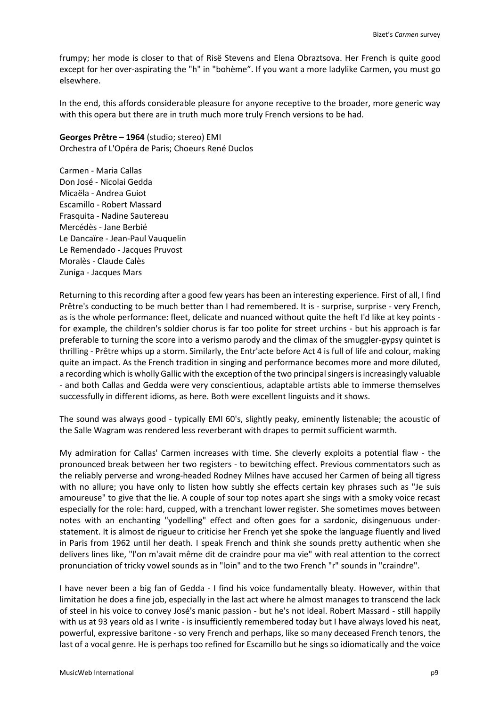frumpy; her mode is closer to that of Risë Stevens and Elena Obraztsova. Her French is quite good except for her over-aspirating the "h" in "bohème". If you want a more ladylike Carmen, you must go elsewhere.

In the end, this affords considerable pleasure for anyone receptive to the broader, more generic way with this opera but there are in truth much more truly French versions to be had.

**Georges Prêtre – 1964** (studio; stereo) EMI Orchestra of L'Opéra de Paris; Choeurs René Duclos

Carmen - Maria Callas Don José - Nicolai Gedda Micaëla - Andrea Guiot Escamillo - Robert Massard Frasquita - Nadine Sautereau Mercédès - Jane Berbié Le Dancaïre - Jean-Paul Vauquelin Le Remendado - Jacques Pruvost Moralès - Claude Calès Zuniga - Jacques Mars

Returning to this recording after a good few years has been an interesting experience. First of all, I find Prêtre's conducting to be much better than I had remembered. It is - surprise, surprise - very French, as is the whole performance: fleet, delicate and nuanced without quite the heft I'd like at key points for example, the children's soldier chorus is far too polite for street urchins - but his approach is far preferable to turning the score into a verismo parody and the climax of the smuggler-gypsy quintet is thrilling - Prêtre whips up a storm. Similarly, the Entr'acte before Act 4 is full of life and colour, making quite an impact. As the French tradition in singing and performance becomes more and more diluted, a recording which is wholly Gallic with the exception of the two principal singers is increasingly valuable - and both Callas and Gedda were very conscientious, adaptable artists able to immerse themselves successfully in different idioms, as here. Both were excellent linguists and it shows.

The sound was always good - typically EMI 60's, slightly peaky, eminently listenable; the acoustic of the Salle Wagram was rendered less reverberant with drapes to permit sufficient warmth.

My admiration for Callas' Carmen increases with time. She cleverly exploits a potential flaw - the pronounced break between her two registers - to bewitching effect. Previous commentators such as the reliably perverse and wrong-headed Rodney Milnes have accused her Carmen of being all tigress with no allure; you have only to listen how subtly she effects certain key phrases such as "Je suis amoureuse" to give that the lie. A couple of sour top notes apart she sings with a smoky voice recast especially for the role: hard, cupped, with a trenchant lower register. She sometimes moves between notes with an enchanting "yodelling" effect and often goes for a sardonic, disingenuous understatement. It is almost de rigueur to criticise her French yet she spoke the language fluently and lived in Paris from 1962 until her death. I speak French and think she sounds pretty authentic when she delivers lines like, "l'on m'avait même dit de craindre pour ma vie" with real attention to the correct pronunciation of tricky vowel sounds as in "loin" and to the two French "r" sounds in "craindre".

I have never been a big fan of Gedda - I find his voice fundamentally bleaty. However, within that limitation he does a fine job, especially in the last act where he almost manages to transcend the lack of steel in his voice to convey José's manic passion - but he's not ideal. Robert Massard - still happily with us at 93 years old as I write - is insufficiently remembered today but I have always loved his neat, powerful, expressive baritone - so very French and perhaps, like so many deceased French tenors, the last of a vocal genre. He is perhaps too refined for Escamillo but he sings so idiomatically and the voice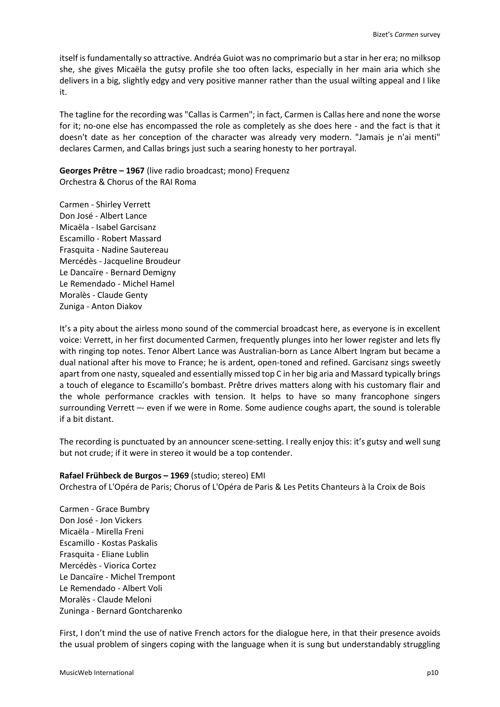itself is fundamentally so attractive. Andréa Guiot was no comprimario but a star in her era; no milksop she, she gives Micaëla the gutsy profile she too often lacks, especially in her main aria which she delivers in a big, slightly edgy and very positive manner rather than the usual wilting appeal and I like it.

The tagline for the recording was "Callas is Carmen"; in fact, Carmen is Callas here and none the worse for it; no-one else has encompassed the role as completely as she does here - and the fact is that it doesn't date as her conception of the character was already very modern. "Jamais je n'ai menti" declares Carmen, and Callas brings just such a searing honesty to her portrayal.

**Georges Prêtre – 1967** (live radio broadcast; mono) Frequenz Orchestra & Chorus of the RAI Roma

Carmen - Shirley Verrett Don José - Albert Lance Micaëla - Isabel Garcisanz Escamillo - Robert Massard Frasquita - Nadine Sautereau Mercédès - Jacqueline Broudeur Le Dancaïre - Bernard Demigny Le Remendado - Michel Hamel Moralès - Claude Genty Zuniga - Anton Diakov

It's a pity about the airless mono sound of the commercial broadcast here, as everyone is in excellent voice: Verrett, in her first documented Carmen, frequently plunges into her lower register and lets fly with ringing top notes. Tenor Albert Lance was Australian-born as Lance Albert Ingram but became a dual national after his move to France; he is ardent, open-toned and refined. Garcisanz sings sweetly apart from one nasty, squealed and essentially missed top C in her big aria and Massard typically brings a touch of elegance to Escamillo's bombast. Prêtre drives matters along with his customary flair and the whole performance crackles with tension. It helps to have so many francophone singers surrounding Verrett –- even if we were in Rome. Some audience coughs apart, the sound is tolerable if a bit distant.

The recording is punctuated by an announcer scene-setting. I really enjoy this: it's gutsy and well sung but not crude; if it were in stereo it would be a top contender.

## **Rafael Frühbeck de Burgos – 1969** (studio; stereo) EMI

Orchestra of L'Opéra de Paris; Chorus of L'Opéra de Paris & Les Petits Chanteurs à la Croix de Bois

Carmen - Grace Bumbry Don José - Jon Vickers Micaëla - Mirella Freni Escamillo - Kostas Paskalis Frasquita - Eliane Lublin Mercédès - Viorica Cortez Le Dancaïre - Michel Trempont Le Remendado - Albert Voli Moralès - Claude Meloni Zuninga - Bernard Gontcharenko

First, I don't mind the use of native French actors for the dialogue here, in that their presence avoids the usual problem of singers coping with the language when it is sung but understandably struggling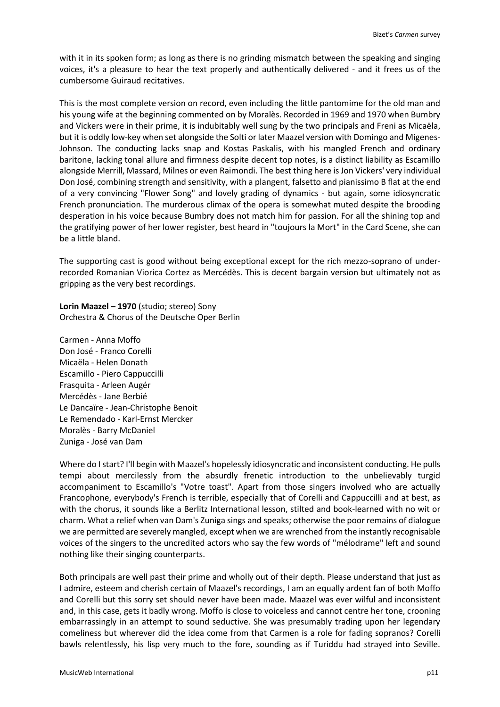with it in its spoken form; as long as there is no grinding mismatch between the speaking and singing voices, it's a pleasure to hear the text properly and authentically delivered - and it frees us of the cumbersome Guiraud recitatives.

This is the most complete version on record, even including the little pantomime for the old man and his young wife at the beginning commented on by Moralès. Recorded in 1969 and 1970 when Bumbry and Vickers were in their prime, it is indubitably well sung by the two principals and Freni as Micaëla, but it is oddly low-key when set alongside the Solti or later Maazel version with Domingo and Migenes-Johnson. The conducting lacks snap and Kostas Paskalis, with his mangled French and ordinary baritone, lacking tonal allure and firmness despite decent top notes, is a distinct liability as Escamillo alongside Merrill, Massard, Milnes or even Raimondi. The best thing here is Jon Vickers' very individual Don José, combining strength and sensitivity, with a plangent, falsetto and pianissimo B flat at the end of a very convincing "Flower Song" and lovely grading of dynamics - but again, some idiosyncratic French pronunciation. The murderous climax of the opera is somewhat muted despite the brooding desperation in his voice because Bumbry does not match him for passion. For all the shining top and the gratifying power of her lower register, best heard in "toujours la Mort" in the Card Scene, she can be a little bland.

The supporting cast is good without being exceptional except for the rich mezzo-soprano of underrecorded Romanian Viorica Cortez as Mercédès. This is decent bargain version but ultimately not as gripping as the very best recordings.

**Lorin Maazel – 1970** (studio; stereo) Sony Orchestra & Chorus of the Deutsche Oper Berlin

Carmen - Anna Moffo Don José - Franco Corelli Micaëla - Helen Donath Escamillo - Piero Cappuccilli Frasquita - Arleen Augér Mercédès - Jane Berbié Le Dancaïre - Jean-Christophe Benoit Le Remendado - Karl-Ernst Mercker Moralès - Barry McDaniel Zuniga - José van Dam

Where do I start? I'll begin with Maazel's hopelessly idiosyncratic and inconsistent conducting. He pulls tempi about mercilessly from the absurdly frenetic introduction to the unbelievably turgid accompaniment to Escamillo's "Votre toast". Apart from those singers involved who are actually Francophone, everybody's French is terrible, especially that of Corelli and Cappuccilli and at best, as with the chorus, it sounds like a Berlitz International lesson, stilted and book-learned with no wit or charm. What a relief when van Dam's Zuniga sings and speaks; otherwise the poor remains of dialogue we are permitted are severely mangled, except when we are wrenched from the instantly recognisable voices of the singers to the uncredited actors who say the few words of "mélodrame" left and sound nothing like their singing counterparts.

Both principals are well past their prime and wholly out of their depth. Please understand that just as I admire, esteem and cherish certain of Maazel's recordings, I am an equally ardent fan of both Moffo and Corelli but this sorry set should never have been made. Maazel was ever wilful and inconsistent and, in this case, gets it badly wrong. Moffo is close to voiceless and cannot centre her tone, crooning embarrassingly in an attempt to sound seductive. She was presumably trading upon her legendary comeliness but wherever did the idea come from that Carmen is a role for fading sopranos? Corelli bawls relentlessly, his lisp very much to the fore, sounding as if Turiddu had strayed into Seville.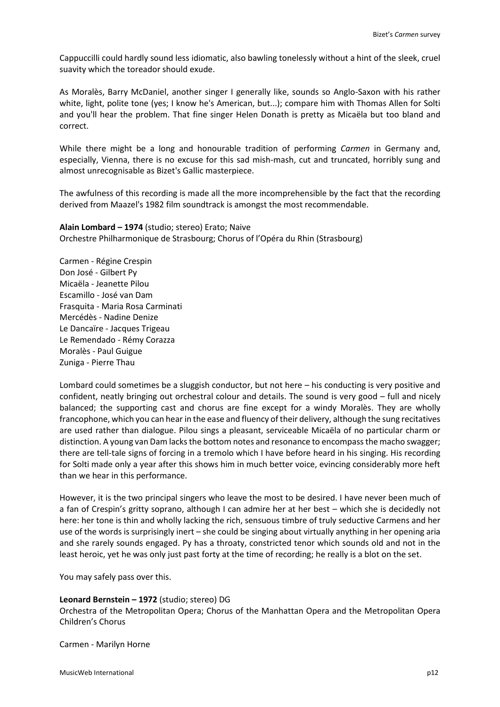Cappuccilli could hardly sound less idiomatic, also bawling tonelessly without a hint of the sleek, cruel suavity which the toreador should exude.

As Moralès, Barry McDaniel, another singer I generally like, sounds so Anglo-Saxon with his rather white, light, polite tone (yes; I know he's American, but...); compare him with Thomas Allen for Solti and you'll hear the problem. That fine singer Helen Donath is pretty as Micaëla but too bland and correct.

While there might be a long and honourable tradition of performing *Carmen* in Germany and, especially, Vienna, there is no excuse for this sad mish-mash, cut and truncated, horribly sung and almost unrecognisable as Bizet's Gallic masterpiece.

The awfulness of this recording is made all the more incomprehensible by the fact that the recording derived from Maazel's 1982 film soundtrack is amongst the most recommendable.

**Alain Lombard – 1974** (studio; stereo) Erato; Naive Orchestre Philharmonique de Strasbourg; Chorus of l'Opéra du Rhin (Strasbourg)

Carmen - Régine Crespin Don José - Gilbert Py Micaëla - Jeanette Pilou Escamillo - José van Dam Frasquita - Maria Rosa Carminati Mercédès - Nadine Denize Le Dancaïre - Jacques Trigeau Le Remendado - Rémy Corazza Moralès - Paul Guigue Zuniga - Pierre Thau

Lombard could sometimes be a sluggish conductor, but not here – his conducting is very positive and confident, neatly bringing out orchestral colour and details. The sound is very good – full and nicely balanced; the supporting cast and chorus are fine except for a windy Moralès. They are wholly francophone, which you can hear in the ease and fluency of their delivery, although the sung recitatives are used rather than dialogue. Pilou sings a pleasant, serviceable Micaëla of no particular charm or distinction. A young van Dam lacks the bottom notes and resonance to encompass the macho swagger; there are tell-tale signs of forcing in a tremolo which I have before heard in his singing. His recording for Solti made only a year after this shows him in much better voice, evincing considerably more heft than we hear in this performance.

However, it is the two principal singers who leave the most to be desired. I have never been much of a fan of Crespin's gritty soprano, although I can admire her at her best – which she is decidedly not here: her tone is thin and wholly lacking the rich, sensuous timbre of truly seductive Carmens and her use of the words is surprisingly inert – she could be singing about virtually anything in her opening aria and she rarely sounds engaged. Py has a throaty, constricted tenor which sounds old and not in the least heroic, yet he was only just past forty at the time of recording; he really is a blot on the set.

You may safely pass over this.

## **Leonard Bernstein – 1972** (studio; stereo) DG

Orchestra of the Metropolitan Opera; Chorus of the Manhattan Opera and the Metropolitan Opera Children's Chorus

Carmen - Marilyn Horne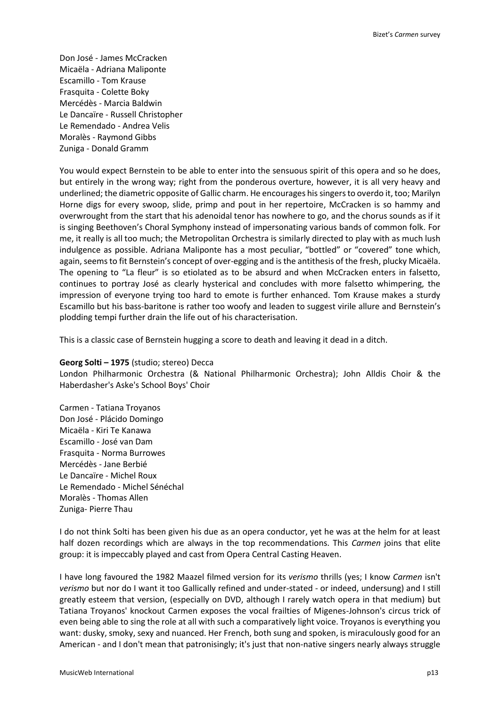Don José - James McCracken Micaëla - Adriana Maliponte Escamillo - Tom Krause Frasquita - Colette Boky Mercédès - Marcia Baldwin Le Dancaïre - Russell Christopher Le Remendado - Andrea Velis Moralès - Raymond Gibbs Zuniga - Donald Gramm

You would expect Bernstein to be able to enter into the sensuous spirit of this opera and so he does, but entirely in the wrong way; right from the ponderous overture, however, it is all very heavy and underlined; the diametric opposite of Gallic charm. He encourages his singers to overdo it, too; Marilyn Horne digs for every swoop, slide, primp and pout in her repertoire, McCracken is so hammy and overwrought from the start that his adenoidal tenor has nowhere to go, and the chorus sounds as if it is singing Beethoven's Choral Symphony instead of impersonating various bands of common folk. For me, it really is all too much; the Metropolitan Orchestra is similarly directed to play with as much lush indulgence as possible. Adriana Maliponte has a most peculiar, "bottled" or "covered" tone which, again, seems to fit Bernstein's concept of over-egging and is the antithesis of the fresh, plucky Micaëla. The opening to "La fleur" is so etiolated as to be absurd and when McCracken enters in falsetto, continues to portray José as clearly hysterical and concludes with more falsetto whimpering, the impression of everyone trying too hard to emote is further enhanced. Tom Krause makes a sturdy Escamillo but his bass-baritone is rather too woofy and leaden to suggest virile allure and Bernstein's plodding tempi further drain the life out of his characterisation.

This is a classic case of Bernstein hugging a score to death and leaving it dead in a ditch.

### **Georg Solti – 1975** (studio; stereo) Decca

London Philharmonic Orchestra (& National Philharmonic Orchestra); John Alldis Choir & the Haberdasher's Aske's School Boys' Choir

Carmen - Tatiana Troyanos Don José - Plácido Domingo Micaëla - Kiri Te Kanawa Escamillo - José van Dam Frasquita - Norma Burrowes Mercédès - Jane Berbié Le Dancaïre - Michel Roux Le Remendado - Michel Sénéchal Moralès - Thomas Allen Zuniga- Pierre Thau

I do not think Solti has been given his due as an opera conductor, yet he was at the helm for at least half dozen recordings which are always in the top recommendations. This *Carmen* joins that elite group: it is impeccably played and cast from Opera Central Casting Heaven.

I have long favoured the 1982 Maazel filmed version for its *verismo* thrills (yes; I know *Carmen* isn't *verismo* but nor do I want it too Gallically refined and under-stated - or indeed, undersung) and I still greatly esteem that version, (especially on DVD, although I rarely watch opera in that medium) but Tatiana Troyanos' knockout Carmen exposes the vocal frailties of Migenes-Johnson's circus trick of even being able to sing the role at all with such a comparatively light voice. Troyanos is everything you want: dusky, smoky, sexy and nuanced. Her French, both sung and spoken, is miraculously good for an American - and I don't mean that patronisingly; it's just that non-native singers nearly always struggle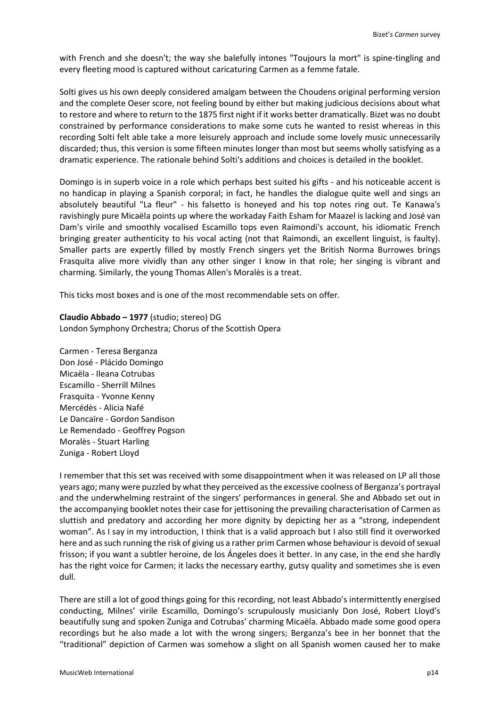with French and she doesn't; the way she balefully intones "Toujours la mort" is spine-tingling and every fleeting mood is captured without caricaturing Carmen as a femme fatale.

Solti gives us his own deeply considered amalgam between the Choudens original performing version and the complete Oeser score, not feeling bound by either but making judicious decisions about what to restore and where to return to the 1875 first night if it works better dramatically. Bizet was no doubt constrained by performance considerations to make some cuts he wanted to resist whereas in this recording Solti felt able take a more leisurely approach and include some lovely music unnecessarily discarded; thus, this version is some fifteen minutes longer than most but seems wholly satisfying as a dramatic experience. The rationale behind Solti's additions and choices is detailed in the booklet.

Domingo is in superb voice in a role which perhaps best suited his gifts - and his noticeable accent is no handicap in playing a Spanish corporal; in fact, he handles the dialogue quite well and sings an absolutely beautiful "La fleur" - his falsetto is honeyed and his top notes ring out. Te Kanawa's ravishingly pure Micaëla points up where the workaday Faith Esham for Maazel is lacking and José van Dam's virile and smoothly vocalised Escamillo tops even Raimondi's account, his idiomatic French bringing greater authenticity to his vocal acting (not that Raimondi, an excellent linguist, is faulty). Smaller parts are expertly filled by mostly French singers yet the British Norma Burrowes brings Frasquita alive more vividly than any other singer I know in that role; her singing is vibrant and charming. Similarly, the young Thomas Allen's Moralès is a treat.

This ticks most boxes and is one of the most recommendable sets on offer.

**Claudio Abbado – 1977** (studio; stereo) DG London Symphony Orchestra; Chorus of the Scottish Opera

Carmen - Teresa Berganza Don José - Plácido Domingo Micaëla - Ileana Cotrubas Escamillo - Sherrill Milnes Frasquita - Yvonne Kenny Mercédès - Alicia Nafé Le Dancaïre - Gordon Sandison Le Remendado - Geoffrey Pogson Moralès - Stuart Harling Zuniga - Robert Lloyd

I remember that this set was received with some disappointment when it was released on LP all those years ago; many were puzzled by what they perceived as the excessive coolness of Berganza's portrayal and the underwhelming restraint of the singers' performances in general. She and Abbado set out in the accompanying booklet notes their case for jettisoning the prevailing characterisation of Carmen as sluttish and predatory and according her more dignity by depicting her as a "strong, independent woman". As I say in my introduction, I think that is a valid approach but I also still find it overworked here and as such running the risk of giving us a rather prim Carmen whose behaviour is devoid of sexual frisson; if you want a subtler heroine, de los Ángeles does it better. In any case, in the end she hardly has the right voice for Carmen; it lacks the necessary earthy, gutsy quality and sometimes she is even dull.

There are still a lot of good things going for this recording, not least Abbado's intermittently energised conducting, Milnes' virile Escamillo, Domingo's scrupulously musicianly Don José, Robert Lloyd's beautifully sung and spoken Zuniga and Cotrubas' charming Micaëla. Abbado made some good opera recordings but he also made a lot with the wrong singers; Berganza's bee in her bonnet that the "traditional" depiction of Carmen was somehow a slight on all Spanish women caused her to make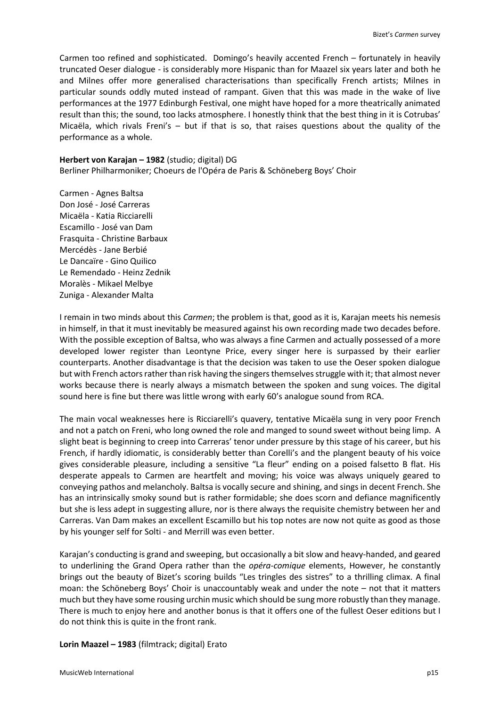Carmen too refined and sophisticated. Domingo's heavily accented French – fortunately in heavily truncated Oeser dialogue - is considerably more Hispanic than for Maazel six years later and both he and Milnes offer more generalised characterisations than specifically French artists; Milnes in particular sounds oddly muted instead of rampant. Given that this was made in the wake of live performances at the 1977 Edinburgh Festival, one might have hoped for a more theatrically animated result than this; the sound, too lacks atmosphere. I honestly think that the best thing in it is Cotrubas' Micaëla, which rivals Freni's – but if that is so, that raises questions about the quality of the performance as a whole.

### **Herbert von Karajan – 1982** (studio; digital) DG

Berliner Philharmoniker; Choeurs de l'Opéra de Paris & Schöneberg Boys' Choir

Carmen - Agnes Baltsa Don José - José Carreras Micaëla - Katia Ricciarelli Escamillo - José van Dam Frasquita - Christine Barbaux Mercédès - Jane Berbié Le Dancaïre - Gino Quilico Le Remendado - Heinz Zednik Moralès - Mikael Melbye Zuniga - Alexander Malta

I remain in two minds about this *Carmen*; the problem is that, good as it is, Karajan meets his nemesis in himself, in that it must inevitably be measured against his own recording made two decades before. With the possible exception of Baltsa, who was always a fine Carmen and actually possessed of a more developed lower register than Leontyne Price, every singer here is surpassed by their earlier counterparts. Another disadvantage is that the decision was taken to use the Oeser spoken dialogue but with French actors rather than risk having the singers themselves struggle with it; that almost never works because there is nearly always a mismatch between the spoken and sung voices. The digital sound here is fine but there was little wrong with early 60's analogue sound from RCA.

The main vocal weaknesses here is Ricciarelli's quavery, tentative Micaëla sung in very poor French and not a patch on Freni, who long owned the role and manged to sound sweet without being limp. A slight beat is beginning to creep into Carreras' tenor under pressure by this stage of his career, but his French, if hardly idiomatic, is considerably better than Corelli's and the plangent beauty of his voice gives considerable pleasure, including a sensitive "La fleur" ending on a poised falsetto B flat. His desperate appeals to Carmen are heartfelt and moving; his voice was always uniquely geared to conveying pathos and melancholy. Baltsa is vocally secure and shining, and sings in decent French. She has an intrinsically smoky sound but is rather formidable; she does scorn and defiance magnificently but she is less adept in suggesting allure, nor is there always the requisite chemistry between her and Carreras. Van Dam makes an excellent Escamillo but his top notes are now not quite as good as those by his younger self for Solti - and Merrill was even better.

Karajan's conducting is grand and sweeping, but occasionally a bit slow and heavy-handed, and geared to underlining the Grand Opera rather than the *opéra-comique* elements, However, he constantly brings out the beauty of Bizet's scoring builds "Les tringles des sistres" to a thrilling climax. A final moan: the Schöneberg Boys' Choir is unaccountably weak and under the note – not that it matters much but they have some rousing urchin music which should be sung more robustly than they manage. There is much to enjoy here and another bonus is that it offers one of the fullest Oeser editions but I do not think this is quite in the front rank.

## **Lorin Maazel – 1983** (filmtrack; digital) Erato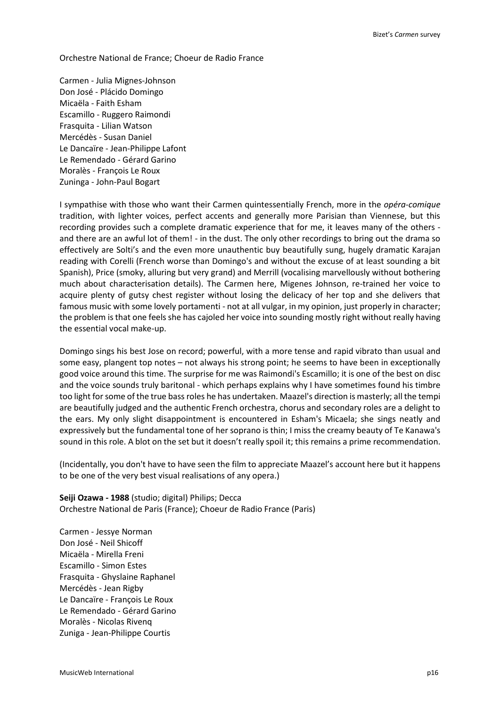Orchestre National de France; Choeur de Radio France

Carmen - Julia Mignes-Johnson Don José - Plácido Domingo Micaëla - Faith Esham Escamillo - Ruggero Raimondi Frasquita - Lilian Watson Mercédès - Susan Daniel Le Dancaïre - Jean-Philippe Lafont Le Remendado - Gérard Garino Moralès - François Le Roux Zuninga - John-Paul Bogart

I sympathise with those who want their Carmen quintessentially French, more in the *opéra-comique* tradition, with lighter voices, perfect accents and generally more Parisian than Viennese, but this recording provides such a complete dramatic experience that for me, it leaves many of the others and there are an awful lot of them! - in the dust. The only other recordings to bring out the drama so effectively are Solti's and the even more unauthentic buy beautifully sung, hugely dramatic Karajan reading with Corelli (French worse than Domingo's and without the excuse of at least sounding a bit Spanish), Price (smoky, alluring but very grand) and Merrill (vocalising marvellously without bothering much about characterisation details). The Carmen here, Migenes Johnson, re-trained her voice to acquire plenty of gutsy chest register without losing the delicacy of her top and she delivers that famous music with some lovely portamenti - not at all vulgar, in my opinion, just properly in character; the problem is that one feels she has cajoled her voice into sounding mostly right without really having the essential vocal make-up.

Domingo sings his best Jose on record; powerful, with a more tense and rapid vibrato than usual and some easy, plangent top notes – not always his strong point; he seems to have been in exceptionally good voice around this time. The surprise for me was Raimondi's Escamillo; it is one of the best on disc and the voice sounds truly baritonal - which perhaps explains why I have sometimes found his timbre too light for some of the true bass roles he has undertaken. Maazel's direction is masterly; all the tempi are beautifully judged and the authentic French orchestra, chorus and secondary roles are a delight to the ears. My only slight disappointment is encountered in Esham's Micaela; she sings neatly and expressively but the fundamental tone of her soprano is thin; I miss the creamy beauty of Te Kanawa's sound in this role. A blot on the set but it doesn't really spoil it; this remains a prime recommendation.

(Incidentally, you don't have to have seen the film to appreciate Maazel's account here but it happens to be one of the very best visual realisations of any opera.)

**Seiji Ozawa - 1988** (studio; digital) Philips; Decca Orchestre National de Paris (France); Choeur de Radio France (Paris)

Carmen - Jessye Norman Don José - Neil Shicoff Micaëla - Mirella Freni Escamillo - Simon Estes Frasquita - Ghyslaine Raphanel Mercédès - Jean Rigby Le Dancaïre - François Le Roux Le Remendado - Gérard Garino Moralès - Nicolas Rivenq Zuniga - Jean-Philippe Courtis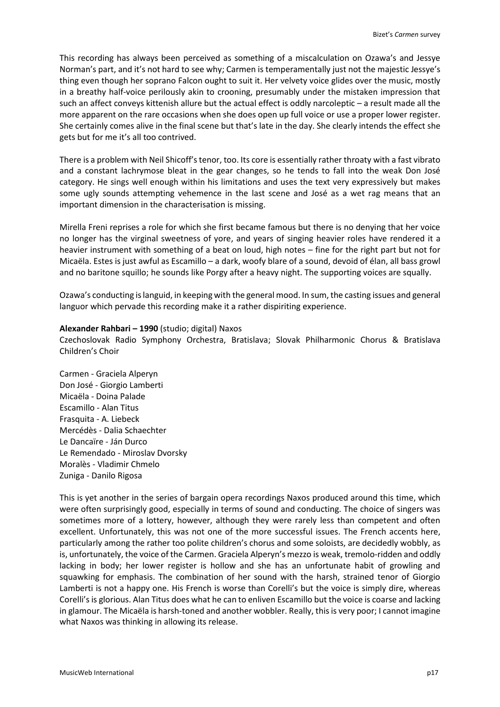This recording has always been perceived as something of a miscalculation on Ozawa's and Jessye Norman's part, and it's not hard to see why; Carmen is temperamentally just not the majestic Jessye's thing even though her soprano Falcon ought to suit it. Her velvety voice glides over the music, mostly in a breathy half-voice perilously akin to crooning, presumably under the mistaken impression that such an affect conveys kittenish allure but the actual effect is oddly narcoleptic – a result made all the more apparent on the rare occasions when she does open up full voice or use a proper lower register. She certainly comes alive in the final scene but that's late in the day. She clearly intends the effect she gets but for me it's all too contrived.

There is a problem with Neil Shicoff's tenor, too. Its core is essentially rather throaty with a fast vibrato and a constant lachrymose bleat in the gear changes, so he tends to fall into the weak Don José category. He sings well enough within his limitations and uses the text very expressively but makes some ugly sounds attempting vehemence in the last scene and José as a wet rag means that an important dimension in the characterisation is missing.

Mirella Freni reprises a role for which she first became famous but there is no denying that her voice no longer has the virginal sweetness of yore, and years of singing heavier roles have rendered it a heavier instrument with something of a beat on loud, high notes – fine for the right part but not for Micaëla. Estes is just awful as Escamillo – a dark, woofy blare of a sound, devoid of élan, all bass growl and no baritone squillo; he sounds like Porgy after a heavy night. The supporting voices are squally.

Ozawa's conducting is languid, in keeping with the general mood. In sum, the casting issues and general languor which pervade this recording make it a rather dispiriting experience.

## **Alexander Rahbari – 1990** (studio; digital) Naxos

Czechoslovak Radio Symphony Orchestra, Bratislava; Slovak Philharmonic Chorus & Bratislava Children's Choir

Carmen - Graciela Alperyn Don José - Giorgio Lamberti Micaëla - Doina Palade Escamillo - Alan Titus Frasquita - A. Liebeck Mercédès - Dalia Schaechter Le Dancaïre - Ján Durco Le Remendado - Miroslav Dvorsky Moralès - Vladimir Chmelo Zuniga - Danilo Rigosa

This is yet another in the series of bargain opera recordings Naxos produced around this time, which were often surprisingly good, especially in terms of sound and conducting. The choice of singers was sometimes more of a lottery, however, although they were rarely less than competent and often excellent. Unfortunately, this was not one of the more successful issues. The French accents here, particularly among the rather too polite children's chorus and some soloists, are decidedly wobbly, as is, unfortunately, the voice of the Carmen. Graciela Alperyn's mezzo is weak, tremolo-ridden and oddly lacking in body; her lower register is hollow and she has an unfortunate habit of growling and squawking for emphasis. The combination of her sound with the harsh, strained tenor of Giorgio Lamberti is not a happy one. His French is worse than Corelli's but the voice is simply dire, whereas Corelli's is glorious. Alan Titus does what he can to enliven Escamillo but the voice is coarse and lacking in glamour. The Micaëla is harsh-toned and another wobbler. Really, this is very poor; I cannot imagine what Naxos was thinking in allowing its release.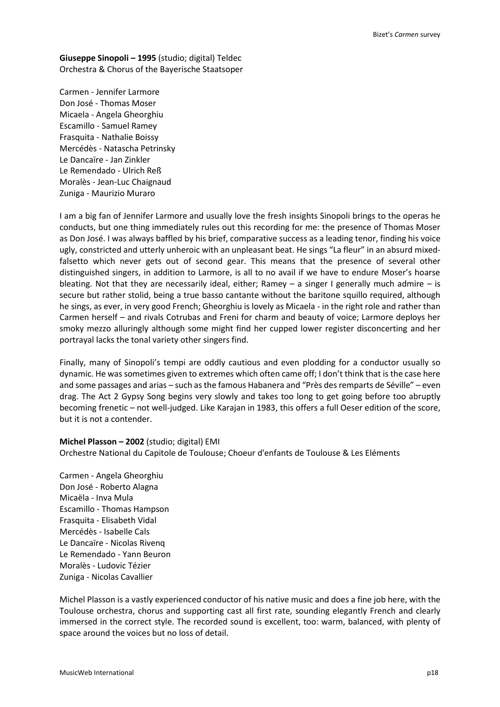**Giuseppe Sinopoli – 1995** (studio; digital) Teldec Orchestra & Chorus of the Bayerische Staatsoper

Carmen - Jennifer Larmore Don José - Thomas Moser Micaela - Angela Gheorghiu Escamillo - Samuel Ramey Frasquita - Nathalie Boissy Mercédès - Natascha Petrinsky Le Dancaïre - Jan Zinkler Le Remendado - Ulrich Reß Moralès - Jean-Luc Chaignaud Zuniga - Maurizio Muraro

I am a big fan of Jennifer Larmore and usually love the fresh insights Sinopoli brings to the operas he conducts, but one thing immediately rules out this recording for me: the presence of Thomas Moser as Don José. I was always baffled by his brief, comparative success as a leading tenor, finding his voice ugly, constricted and utterly unheroic with an unpleasant beat. He sings "La fleur" in an absurd mixedfalsetto which never gets out of second gear. This means that the presence of several other distinguished singers, in addition to Larmore, is all to no avail if we have to endure Moser's hoarse bleating. Not that they are necessarily ideal, either; Ramey  $-$  a singer I generally much admire  $-$  is secure but rather stolid, being a true basso cantante without the baritone squillo required, although he sings, as ever, in very good French; Gheorghiu is lovely as Micaela - in the right role and rather than Carmen herself – and rivals Cotrubas and Freni for charm and beauty of voice; Larmore deploys her smoky mezzo alluringly although some might find her cupped lower register disconcerting and her portrayal lacks the tonal variety other singers find.

Finally, many of Sinopoli's tempi are oddly cautious and even plodding for a conductor usually so dynamic. He was sometimes given to extremes which often came off; I don't think that is the case here and some passages and arias – such as the famous Habanera and "Près des remparts de Séville" – even drag. The Act 2 Gypsy Song begins very slowly and takes too long to get going before too abruptly becoming frenetic – not well-judged. Like Karajan in 1983, this offers a full Oeser edition of the score, but it is not a contender.

#### **Michel Plasson – 2002** (studio; digital) EMI

Orchestre National du Capitole de Toulouse; Choeur d'enfants de Toulouse & Les Eléments

Carmen - Angela Gheorghiu Don José - Roberto Alagna Micaëla - Inva Mula Escamillo - Thomas Hampson Frasquita - Elisabeth Vidal Mercédès - Isabelle Cals Le Dancaïre - Nicolas Rivenq Le Remendado - Yann Beuron Moralès - Ludovic Tézier Zuniga - Nicolas Cavallier

Michel Plasson is a vastly experienced conductor of his native music and does a fine job here, with the Toulouse orchestra, chorus and supporting cast all first rate, sounding elegantly French and clearly immersed in the correct style. The recorded sound is excellent, too: warm, balanced, with plenty of space around the voices but no loss of detail.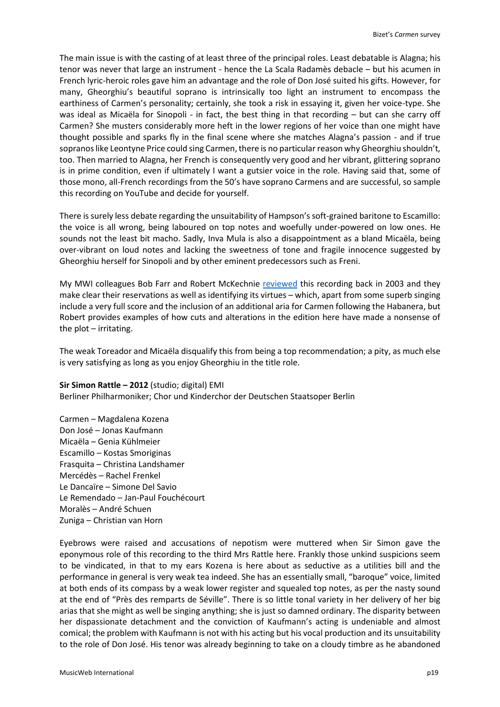The main issue is with the casting of at least three of the principal roles. Least debatable is Alagna; his tenor was never that large an instrument - hence the La Scala Radamès debacle – but his acumen in French lyric-heroic roles gave him an advantage and the role of Don José suited his gifts. However, for many, Gheorghiu's beautiful soprano is intrinsically too light an instrument to encompass the earthiness of Carmen's personality; certainly, she took a risk in essaying it, given her voice-type. She was ideal as Micaëla for Sinopoli - in fact, the best thing in that recording – but can she carry off Carmen? She musters considerably more heft in the lower regions of her voice than one might have thought possible and sparks fly in the final scene where she matches Alagna's passion - and if true sopranos like Leontyne Price could sing Carmen, there is no particular reason why Gheorghiu shouldn't, too. Then married to Alagna, her French is consequently very good and her vibrant, glittering soprano is in prime condition, even if ultimately I want a gutsier voice in the role. Having said that, some of those mono, all-French recordings from the 50's have soprano Carmens and are successful, so sample this recording on YouTube and decide for yourself.

There is surely less debate regarding the unsuitability of Hampson's soft-grained baritone to Escamillo: the voice is all wrong, being laboured on top notes and woefully under-powered on low ones. He sounds not the least bit macho. Sadly, Inva Mula is also a disappointment as a bland Micaëla, being over-vibrant on loud notes and lacking the sweetness of tone and fragile innocence suggested by Gheorghiu herself for Sinopoli and by other eminent predecessors such as Freni.

My MWI colleagues Bob Farr and Robert McKechnie [reviewed](http://www.musicweb-international.com/classrev/2003/Apr03/Bizet_Carmen_EMI.htm) this recording back in 2003 and they make clear their reservations as well as identifying its virtues – which, apart from some superb singing include a very full score and the inclusion of an additional aria for Carmen following the Habanera, but Robert provides examples of how cuts and alterations in the edition here have made a nonsense of the plot – irritating.

The weak Toreador and Micaëla disqualify this from being a top recommendation; a pity, as much else is very satisfying as long as you enjoy Gheorghiu in the title role.

**Sir Simon Rattle – 2012** (studio; digital) EMI Berliner Philharmoniker; Chor und Kinderchor der Deutschen Staatsoper Berlin

Carmen – Magdalena Kozena Don José – Jonas Kaufmann Micaëla – Genia Kühlmeier Escamillo – Kostas Smoriginas Frasquita – Christina Landshamer Mercédès – Rachel Frenkel Le Dancaïre – Simone Del Savio Le Remendado – Jan-Paul Fouchécourt Moralès – André Schuen Zuniga – Christian van Horn

Eyebrows were raised and accusations of nepotism were muttered when Sir Simon gave the eponymous role of this recording to the third Mrs Rattle here. Frankly those unkind suspicions seem to be vindicated, in that to my ears Kozena is here about as seductive as a utilities bill and the performance in general is very weak tea indeed. She has an essentially small, "baroque" voice, limited at both ends of its compass by a weak lower register and squealed top notes, as per the nasty sound at the end of "Près des remparts de Séville". There is so little tonal variety in her delivery of her big arias that she might as well be singing anything; she is just so damned ordinary. The disparity between her dispassionate detachment and the conviction of Kaufmann's acting is undeniable and almost comical; the problem with Kaufmann is not with his acting but his vocal production and its unsuitability to the role of Don José. His tenor was already beginning to take on a cloudy timbre as he abandoned